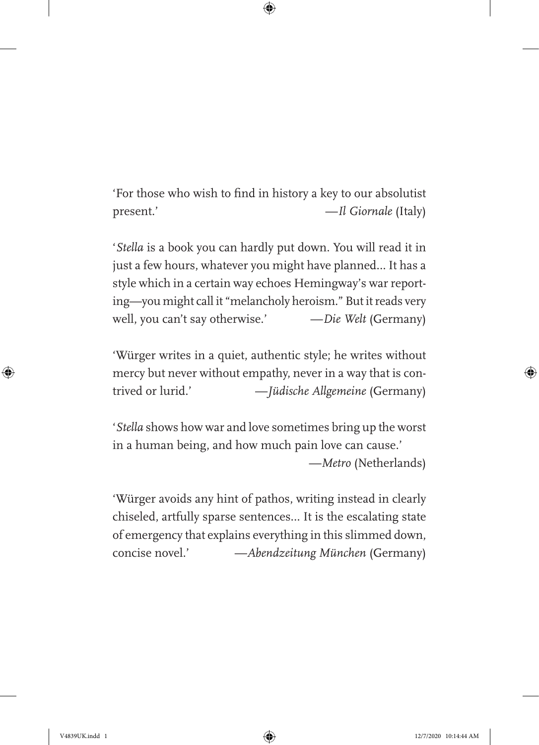'For those who wish to find in history a key to our absolutist present.' ——*Il Giornale* (Italy)

 $\bigoplus$ 

'*Stella* is a book you can hardly put down. You will read it in just a few hours, whatever you might have planned… It has a style which in a certain way echoes Hemingway's war reporting—you might call it "melancholy heroism." But it reads very well, you can't say otherwise.' —*Die Welt* (Germany)

'Würger writes in a quiet, authentic style; he writes without mercy but never without empathy, never in a way that is contrived or lurid.' —*Jüdische Allgemeine* (Germany)

'*Stella* shows how war and love sometimes bring up the worst in a human being, and how much pain love can cause.' —*Metro* (Netherlands)

'Würger avoids any hint of pathos, writing instead in clearly chiseled, artfully sparse sentences… It is the escalating state of emergency that explains everything in this slimmed down, concise novel.' —*Abendzeitung München* (Germany)

⊕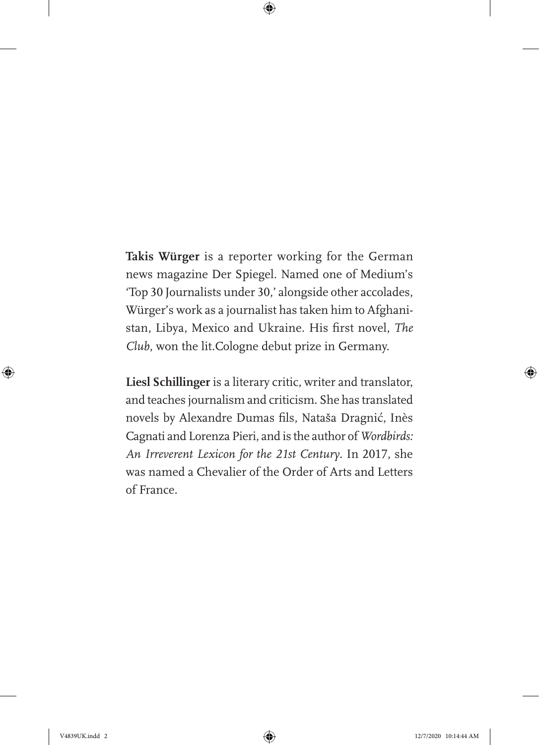**Takis Würger** is a reporter working for the German news magazine Der Spiegel. Named one of Medium's 'Top 30 Journalists under 30,' alongside other accolades, Würger's work as a journalist has taken him to Afghanistan, Libya, Mexico and Ukraine. His first novel, *The Club*, won the lit.Cologne debut prize in Germany.

 $\bigoplus$ 

**Liesl Schillinger** is a literary critic, writer and translator, and teaches journalism and criticism. She has translated novels by Alexandre Dumas fils, Nataša Dragnić, Inès Cagnati and Lorenza Pieri, and is the author of *Wordbirds: An Irreverent Lexicon for the 21st Century*. In 2017, she was named a Chevalier of the Order of Arts and Letters of France.

⊕

↔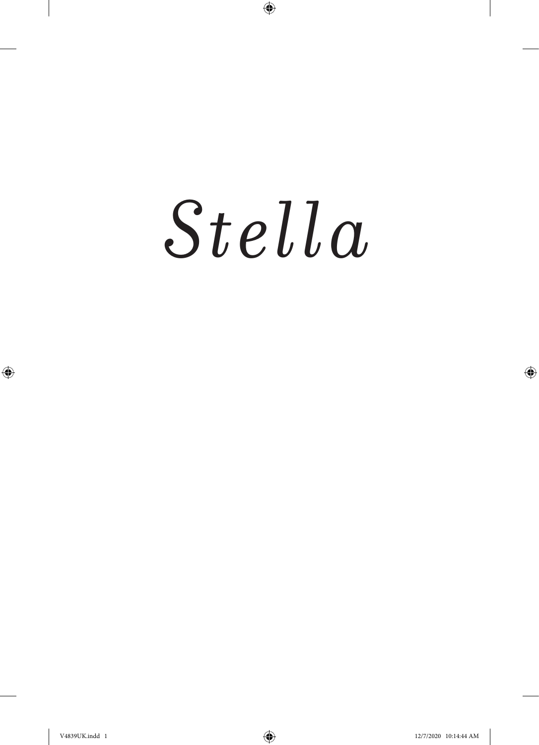# *Stella*

 $\bigoplus$ 

 $\bigoplus$ 

 $\bigoplus$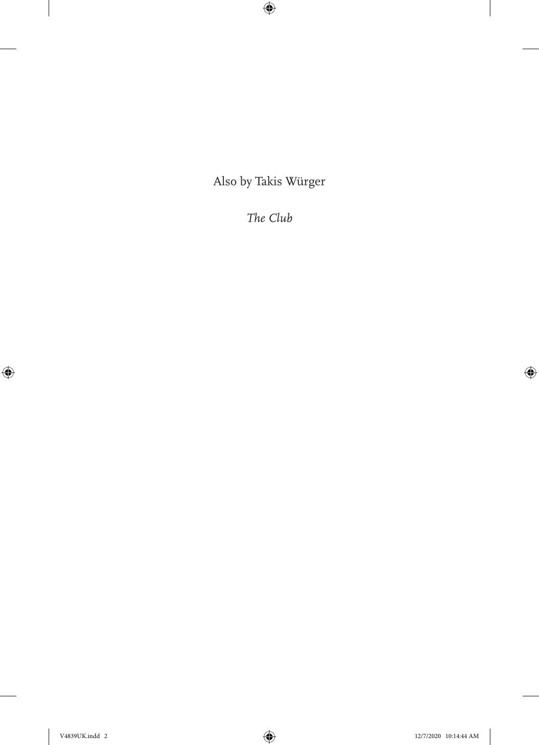$\bigoplus$ 

Also by Takis Würger

*The Club*

 $\overline{\phantom{a}}$ 

 $\bigoplus$ 

 $\frac{1}{2}$ 

 $\bigoplus$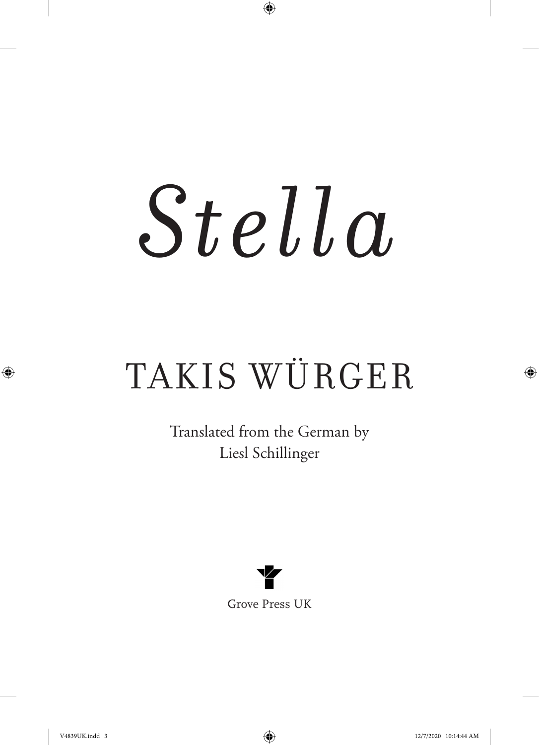# *Stella*

 $\bigoplus$ 

### TAKIS WÜRGER

Translated from the German by Liesl Schillinger



Grove Press UK

⊕

V4839UK.indd 3 12/7/2020 10:14:44 AM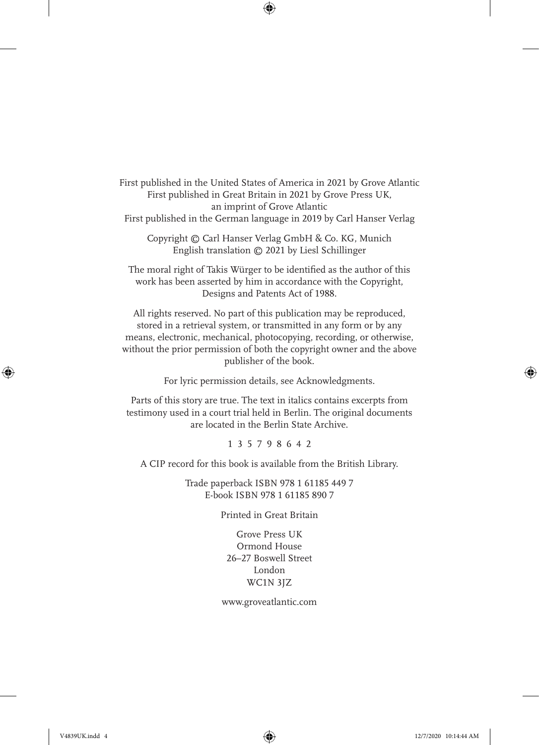First published in the United States of America in 2021 by Grove Atlantic First published in Great Britain in 2021 by Grove Press UK, an imprint of Grove Atlantic First published in the German language in 2019 by Carl Hanser Verlag

⊕

Copyright © Carl Hanser Verlag GmbH & Co. KG, Munich English translation © 2021 by Liesl Schillinger

The moral right of Takis Würger to be identified as the author of this work has been asserted by him in accordance with the Copyright, Designs and Patents Act of 1988.

All rights reserved. No part of this publication may be reproduced, stored in a retrieval system, or transmitted in any form or by any means, electronic, mechanical, photocopying, recording, or otherwise, without the prior permission of both the copyright owner and the above publisher of the book.

For lyric permission details, see Acknowledgments.

Parts of this story are true. The text in italics contains excerpts from testimony used in a court trial held in Berlin. The original documents are located in the Berlin State Archive.

1 3 5 7 9 8 6 4 2

A CIP record for this book is available from the British Library.

Trade paperback ISBN 978 1 61185 449 7 E-book ISBN 978 1 61185 890 7

Printed in Great Britain

Grove Press UK Ormond House 26–27 Boswell Street London WC1N 3JZ

www.groveatlantic.com

⊕

↔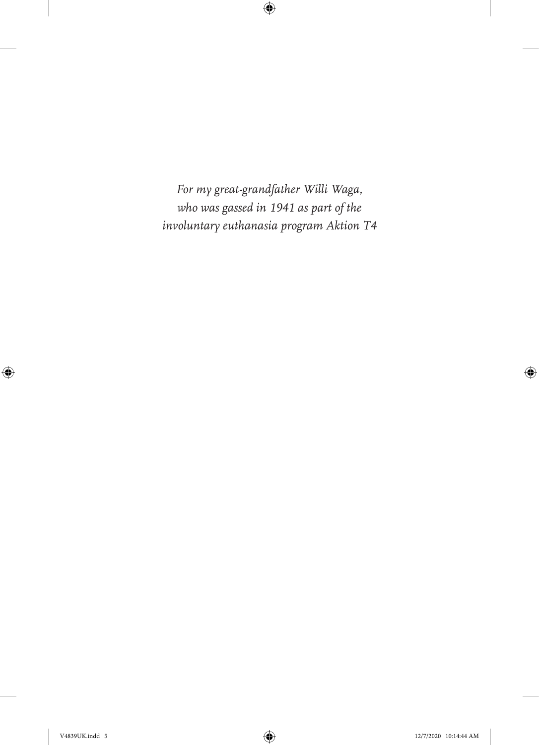*For my great-grandfather Willi Waga, who was gassed in 1941 as part of the involuntary euthanasia program Aktion T4*

 $\bigoplus$ 

 $\bigoplus$ 

 $\bigoplus$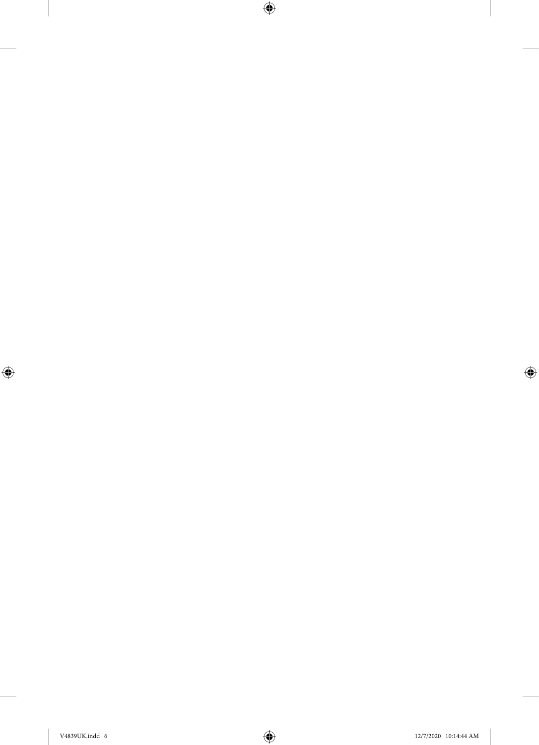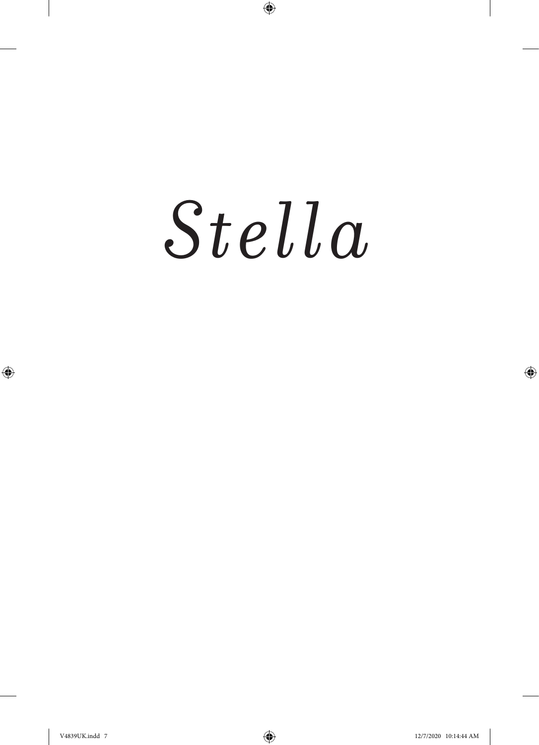# *Stella*

 $\bigoplus$ 

 $\bigoplus$ 

 $\bigoplus$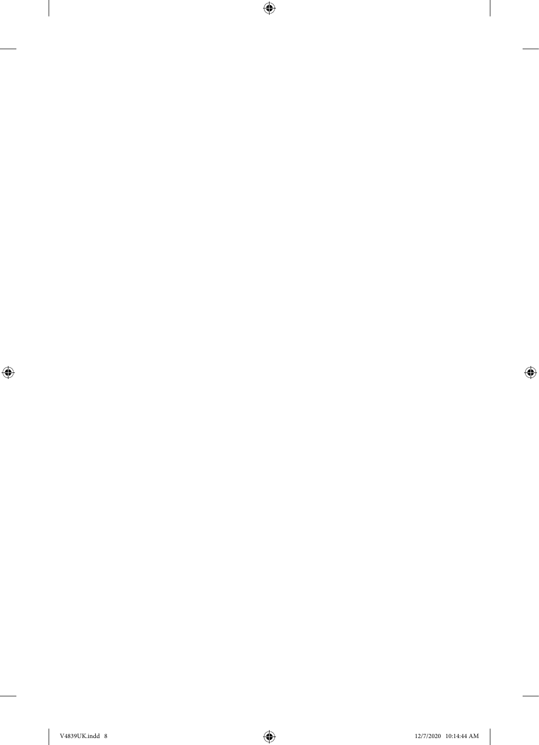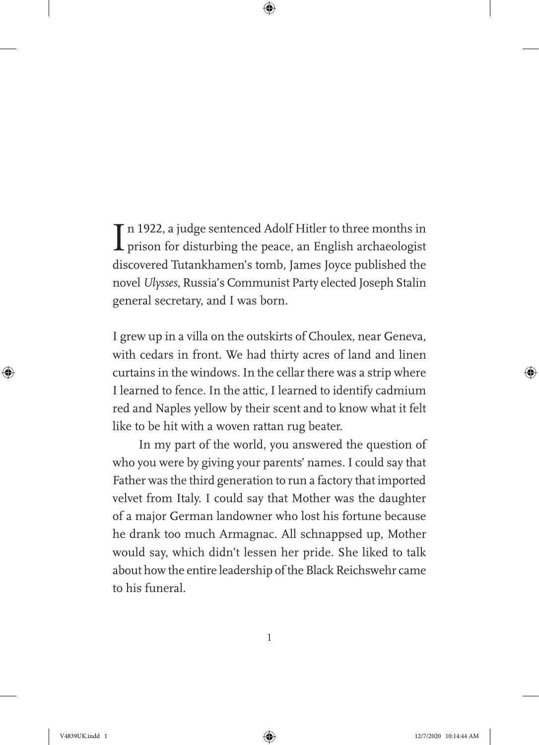In 1922, a judge sentenced Adolf Hitler to three months in<br>prison for disturbing the peace, an English archaeologist In 1922, a judge sentenced Adolf Hitler to three months in discovered Tutankhamen's tomb, James Joyce published the novel *Ulysses*, Russia's Communist Party elected Joseph Stalin general secretary, and I was born.

 $\bigoplus$ 

I grew up in a villa on the outskirts of Choulex, near Geneva, with cedars in front. We had thirty acres of land and linen curtains in the windows. In the cellar there was a strip where I learned to fence. In the attic, I learned to identify cadmium red and Naples yellow by their scent and to know what it felt like to be hit with a woven rattan rug beater.

In my part of the world, you answered the question of who you were by giving your parents' names. I could say that Father was the third generation to run a factory that imported velvet from Italy. I could say that Mother was the daughter of a major German landowner who lost his fortune because he drank too much Armagnac. All schnappsed up, Mother would say, which didn't lessen her pride. She liked to talk about how the entire leadership of the Black Reichswehr came to his funeral.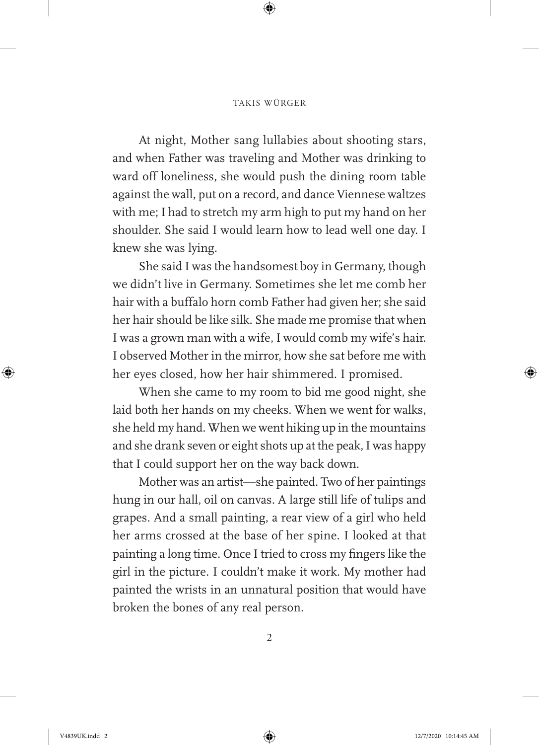$\textcircled{\scriptsize{+}}$ 

At night, Mother sang lullabies about shooting stars, and when Father was traveling and Mother was drinking to ward off loneliness, she would push the dining room table against the wall, put on a record, and dance Viennese waltzes with me; I had to stretch my arm high to put my hand on her shoulder. She said I would learn how to lead well one day. I knew she was lying.

She said I was the handsomest boy in Germany, though we didn't live in Germany. Sometimes she let me comb her hair with a buffalo horn comb Father had given her; she said her hair should be like silk. She made me promise that when I was a grown man with a wife, I would comb my wife's hair. I observed Mother in the mirror, how she sat before me with her eyes closed, how her hair shimmered. I promised.

When she came to my room to bid me good night, she laid both her hands on my cheeks. When we went for walks, she held my hand. When we went hiking up in the mountains and she drank seven or eight shots up at the peak, I was happy that I could support her on the way back down.

Mother was an artist—she painted. Two of her paintings hung in our hall, oil on canvas. A large still life of tulips and grapes. And a small painting, a rear view of a girl who held her arms crossed at the base of her spine. I looked at that painting a long time. Once I tried to cross my fingers like the girl in the picture. I couldn't make it work. My mother had painted the wrists in an unnatural position that would have broken the bones of any real person.

↔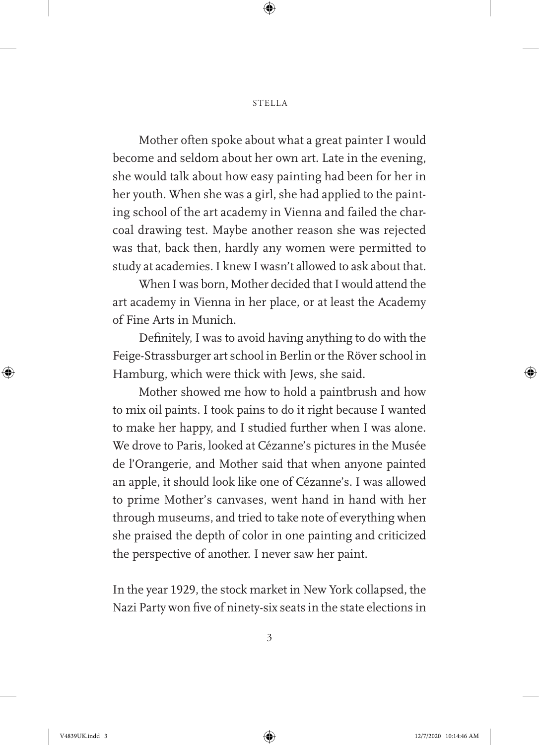$\bigoplus$ 

Mother often spoke about what a great painter I would become and seldom about her own art. Late in the evening, she would talk about how easy painting had been for her in her youth. When she was a girl, she had applied to the painting school of the art academy in Vienna and failed the charcoal drawing test. Maybe another reason she was rejected was that, back then, hardly any women were permitted to study at academies. I knew I wasn't allowed to ask about that.

When I was born, Mother decided that I would attend the art academy in Vienna in her place, or at least the Academy of Fine Arts in Munich.

Definitely, I was to avoid having anything to do with the Feige-Strassburger art school in Berlin or the Röver school in Hamburg, which were thick with Jews, she said.

Mother showed me how to hold a paintbrush and how to mix oil paints. I took pains to do it right because I wanted to make her happy, and I studied further when I was alone. We drove to Paris, looked at Cézanne's pictures in the Musée de l'Orangerie, and Mother said that when anyone painted an apple, it should look like one of Cézanne's. I was allowed to prime Mother's canvases, went hand in hand with her through museums, and tried to take note of everything when she praised the depth of color in one painting and criticized the perspective of another. I never saw her paint.

In the year 1929, the stock market in New York collapsed, the Nazi Party won five of ninety-six seats in the state elections in

 $\bigoplus$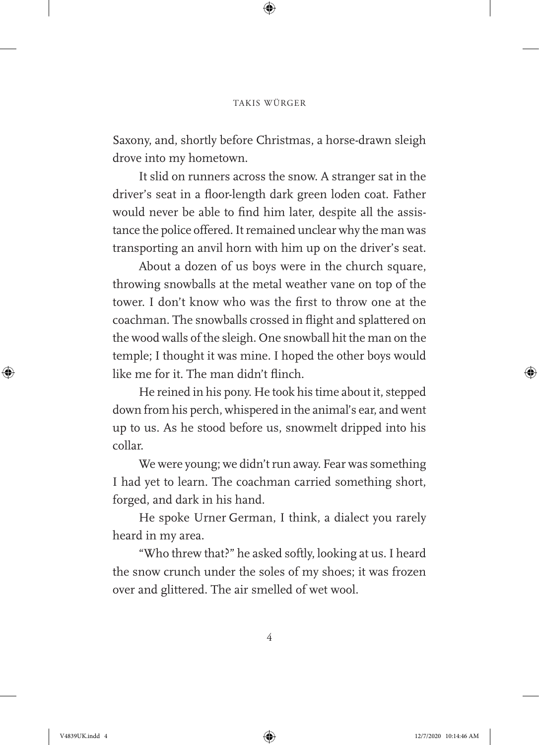$\bigoplus$ 

Saxony, and, shortly before Christmas, a horse-drawn sleigh drove into my hometown.

It slid on runners across the snow. A stranger sat in the driver's seat in a floor-length dark green loden coat. Father would never be able to find him later, despite all the assistance the police offered. It remained unclear why the man was transporting an anvil horn with him up on the driver's seat.

About a dozen of us boys were in the church square, throwing snowballs at the metal weather vane on top of the tower. I don't know who was the first to throw one at the coachman. The snowballs crossed in flight and splattered on the wood walls of the sleigh. One snowball hit the man on the temple; I thought it was mine. I hoped the other boys would like me for it. The man didn't flinch.

He reined in his pony. He took his time about it, stepped down from his perch, whispered in the animal's ear, and went up to us. As he stood before us, snowmelt dripped into his collar.

We were young; we didn't run away. Fear was something I had yet to learn. The coachman carried something short, forged, and dark in his hand.

He spoke Urner German, I think, a dialect you rarely heard in my area.

"Who threw that?" he asked softly, looking at us. I heard the snow crunch under the soles of my shoes; it was frozen over and glittered. The air smelled of wet wool.

⊕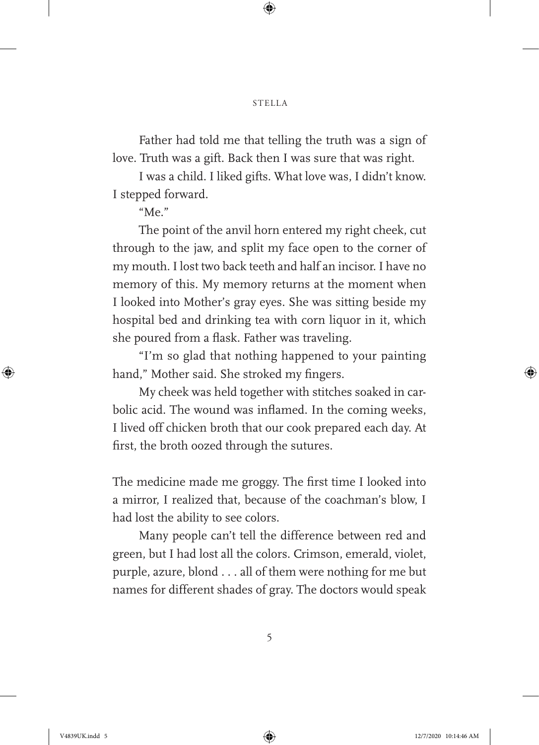$\bigoplus$ 

Father had told me that telling the truth was a sign of love. Truth was a gift. Back then I was sure that was right.

I was a child. I liked gifts. What love was, I didn't know. I stepped forward.

"Me."

The point of the anvil horn entered my right cheek, cut through to the jaw, and split my face open to the corner of my mouth. I lost two back teeth and half an incisor. I have no memory of this. My memory returns at the moment when I looked into Mother's gray eyes. She was sitting beside my hospital bed and drinking tea with corn liquor in it, which she poured from a flask. Father was traveling.

"I'm so glad that nothing happened to your painting hand," Mother said. She stroked my fingers.

My cheek was held together with stitches soaked in carbolic acid. The wound was inflamed. In the coming weeks, I lived off chicken broth that our cook prepared each day. At first, the broth oozed through the sutures.

The medicine made me groggy. The first time I looked into a mirror, I realized that, because of the coachman's blow, I had lost the ability to see colors.

Many people can't tell the difference between red and green, but I had lost all the colors. Crimson, emerald, violet, purple, azure, blond . . . all of them were nothing for me but names for different shades of gray. The doctors would speak

⊕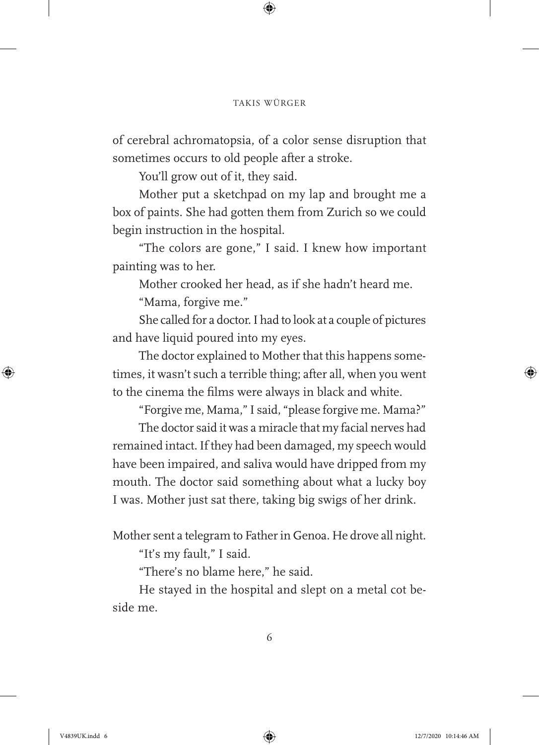$\bigoplus$ 

of cerebral achromatopsia, of a color sense disruption that sometimes occurs to old people after a stroke.

You'll grow out of it, they said.

Mother put a sketchpad on my lap and brought me a box of paints. She had gotten them from Zurich so we could begin instruction in the hospital.

"The colors are gone," I said. I knew how important painting was to her.

Mother crooked her head, as if she hadn't heard me.

"Mama, forgive me."

She called for a doctor. I had to look at a couple of pictures and have liquid poured into my eyes.

The doctor explained to Mother that this happens sometimes, it wasn't such a terrible thing; after all, when you went to the cinema the films were always in black and white.

"Forgive me, Mama," I said, "please forgive me. Mama?"

The doctor said it was a miracle that my facial nerves had remained intact. If they had been damaged, my speech would have been impaired, and saliva would have dripped from my mouth. The doctor said something about what a lucky boy I was. Mother just sat there, taking big swigs of her drink.

Mother sent a telegram to Father in Genoa. He drove all night.

"It's my fault," I said.

"There's no blame here," he said.

He stayed in the hospital and slept on a metal cot beside me.

⊕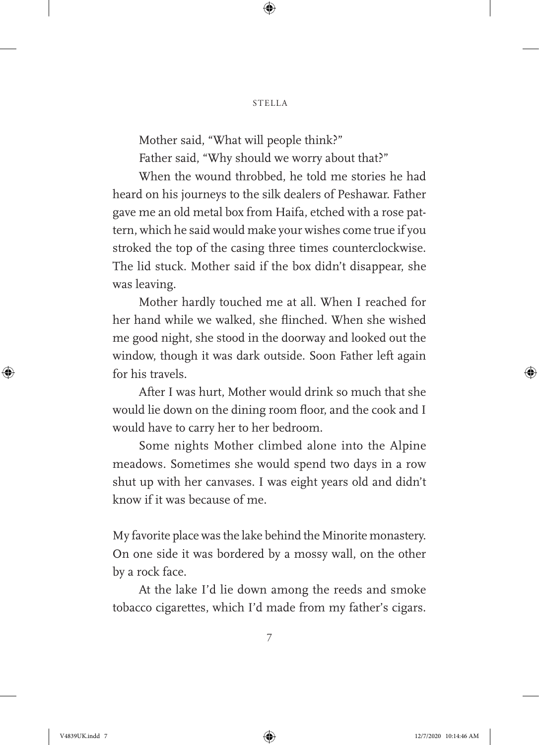$\bigoplus$ 

Mother said, "What will people think?" Father said, "Why should we worry about that?"

When the wound throbbed, he told me stories he had heard on his journeys to the silk dealers of Peshawar. Father gave me an old metal box from Haifa, etched with a rose pattern, which he said would make your wishes come true if you stroked the top of the casing three times counterclockwise. The lid stuck. Mother said if the box didn't disappear, she was leaving.

Mother hardly touched me at all. When I reached for her hand while we walked, she flinched. When she wished me good night, she stood in the doorway and looked out the window, though it was dark outside. Soon Father left again for his travels.

After I was hurt, Mother would drink so much that she would lie down on the dining room floor, and the cook and I would have to carry her to her bedroom.

Some nights Mother climbed alone into the Alpine meadows. Sometimes she would spend two days in a row shut up with her canvases. I was eight years old and didn't know if it was because of me.

My favorite place was the lake behind the Minorite monastery. On one side it was bordered by a mossy wall, on the other by a rock face.

At the lake I'd lie down among the reeds and smoke tobacco cigarettes, which I'd made from my father's cigars.

⊕

↔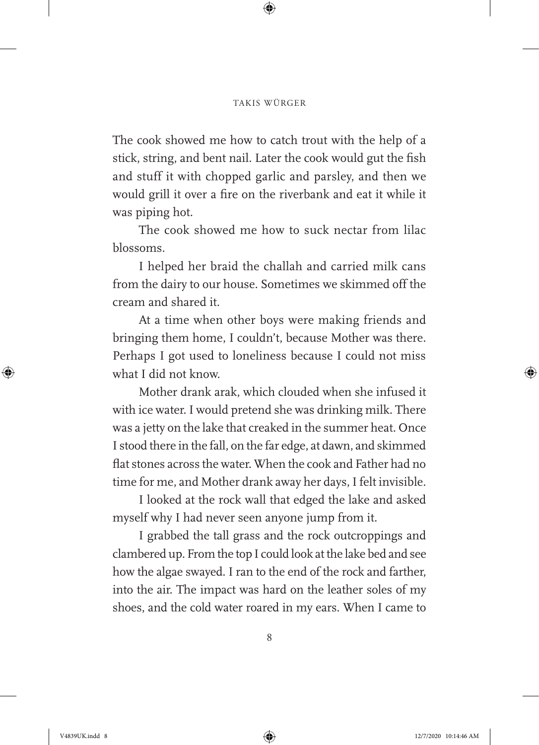$\bigoplus$ 

The cook showed me how to catch trout with the help of a stick, string, and bent nail. Later the cook would gut the fish and stuff it with chopped garlic and parsley, and then we would grill it over a fire on the riverbank and eat it while it was piping hot.

The cook showed me how to suck nectar from lilac blossoms.

I helped her braid the challah and carried milk cans from the dairy to our house. Sometimes we skimmed off the cream and shared it.

At a time when other boys were making friends and bringing them home, I couldn't, because Mother was there. Perhaps I got used to loneliness because I could not miss what I did not know.

Mother drank arak, which clouded when she infused it with ice water. I would pretend she was drinking milk. There was a jetty on the lake that creaked in the summer heat. Once I stood there in the fall, on the far edge, at dawn, and skimmed flat stones across the water. When the cook and Father had no time for me, and Mother drank away her days, I felt invisible.

I looked at the rock wall that edged the lake and asked myself why I had never seen anyone jump from it.

I grabbed the tall grass and the rock outcroppings and clambered up. From the top I could look at the lake bed and see how the algae swayed. I ran to the end of the rock and farther, into the air. The impact was hard on the leather soles of my shoes, and the cold water roared in my ears. When I came to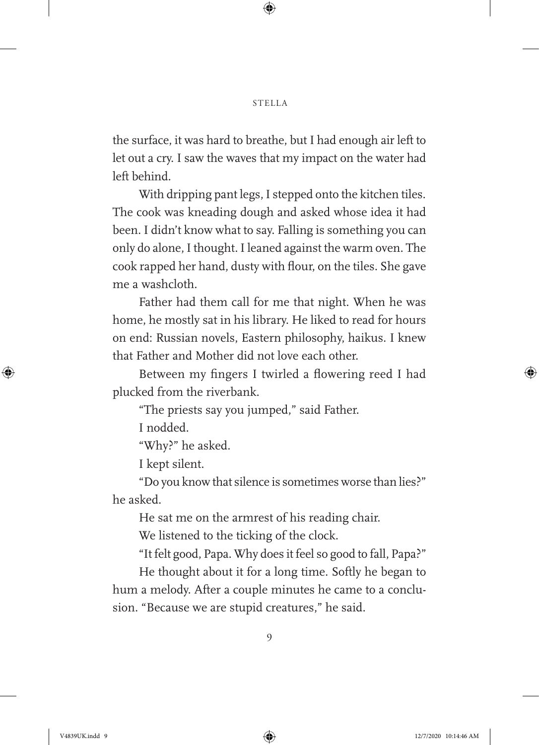$\bigoplus$ 

the surface, it was hard to breathe, but I had enough air left to let out a cry. I saw the waves that my impact on the water had left behind.

With dripping pant legs, I stepped onto the kitchen tiles. The cook was kneading dough and asked whose idea it had been. I didn't know what to say. Falling is something you can only do alone, I thought. I leaned against the warm oven. The cook rapped her hand, dusty with flour, on the tiles. She gave me a washcloth.

Father had them call for me that night. When he was home, he mostly sat in his library. He liked to read for hours on end: Russian novels, Eastern philosophy, haikus. I knew that Father and Mother did not love each other.

Between my fingers I twirled a flowering reed I had plucked from the riverbank.

"The priests say you jumped," said Father.

I nodded.

"Why?" he asked.

I kept silent.

"Do you know that silence is sometimes worse than lies?" he asked.

He sat me on the armrest of his reading chair.

We listened to the ticking of the clock.

"It felt good, Papa. Why does it feel so good to fall, Papa?"

He thought about it for a long time. Softly he began to hum a melody. After a couple minutes he came to a conclusion. "Because we are stupid creatures," he said.

⊕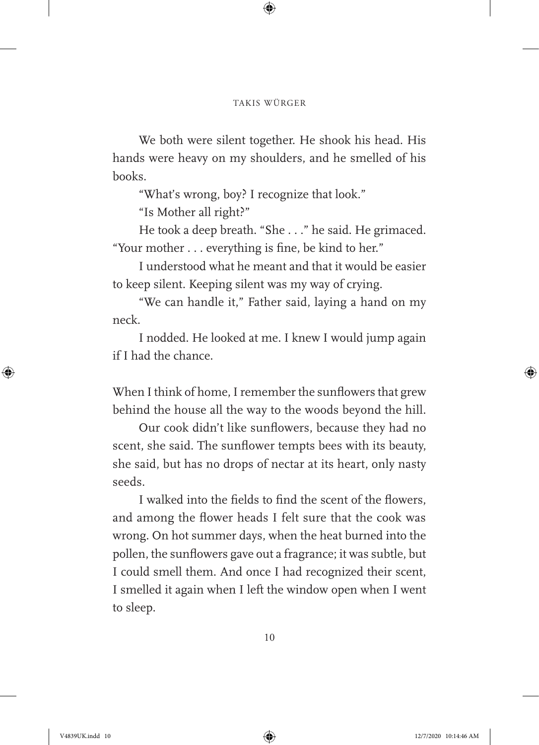$\bigoplus$ 

We both were silent together. He shook his head. His hands were heavy on my shoulders, and he smelled of his books.

"What's wrong, boy? I recognize that look."

"Is Mother all right?"

He took a deep breath. "She . . ." he said. He grimaced. "Your mother . . . everything is fine, be kind to her."

I understood what he meant and that it would be easier to keep silent. Keeping silent was my way of crying.

"We can handle it," Father said, laying a hand on my neck.

I nodded. He looked at me. I knew I would jump again if I had the chance.

When I think of home, I remember the sunflowers that grew behind the house all the way to the woods beyond the hill.

Our cook didn't like sunflowers, because they had no scent, she said. The sunflower tempts bees with its beauty, she said, but has no drops of nectar at its heart, only nasty seeds.

I walked into the fields to find the scent of the flowers, and among the flower heads I felt sure that the cook was wrong. On hot summer days, when the heat burned into the pollen, the sunflowers gave out a fragrance; it was subtle, but I could smell them. And once I had recognized their scent, I smelled it again when I left the window open when I went to sleep.

⊕

↔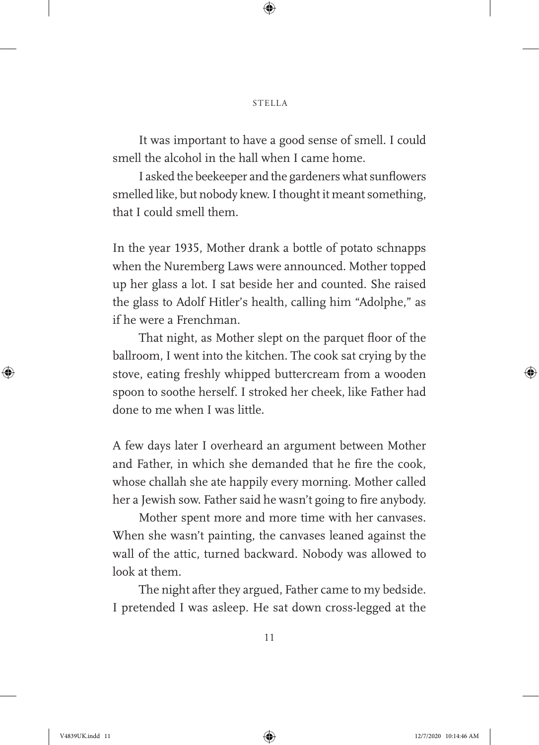$\bigoplus$ 

It was important to have a good sense of smell. I could smell the alcohol in the hall when I came home.

I asked the beekeeper and the gardeners what sunflowers smelled like, but nobody knew. I thought it meant something, that I could smell them.

In the year 1935, Mother drank a bottle of potato schnapps when the Nuremberg Laws were announced. Mother topped up her glass a lot. I sat beside her and counted. She raised the glass to Adolf Hitler's health, calling him "Adolphe," as if he were a Frenchman.

That night, as Mother slept on the parquet floor of the ballroom, I went into the kitchen. The cook sat crying by the stove, eating freshly whipped buttercream from a wooden spoon to soothe herself. I stroked her cheek, like Father had done to me when I was little.

A few days later I overheard an argument between Mother and Father, in which she demanded that he fire the cook, whose challah she ate happily every morning. Mother called her a Jewish sow. Father said he wasn't going to fire anybody.

Mother spent more and more time with her canvases. When she wasn't painting, the canvases leaned against the wall of the attic, turned backward. Nobody was allowed to look at them.

The night after they argued, Father came to my bedside. I pretended I was asleep. He sat down cross-legged at the

⊕

↔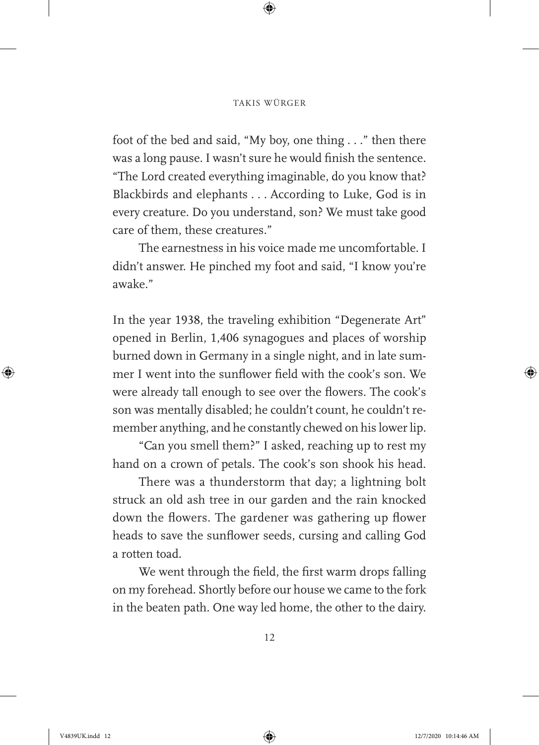$\bigoplus$ 

foot of the bed and said, "My boy, one thing . . ." then there was a long pause. I wasn't sure he would finish the sentence. "The Lord created everything imaginable, do you know that? Blackbirds and elephants . . . According to Luke, God is in every creature. Do you understand, son? We must take good care of them, these creatures."

The earnestness in his voice made me uncomfortable. I didn't answer. He pinched my foot and said, "I know you're awake."

In the year 1938, the traveling exhibition "Degenerate Art" opened in Berlin, 1,406 synagogues and places of worship burned down in Germany in a single night, and in late summer I went into the sunflower field with the cook's son. We were already tall enough to see over the flowers. The cook's son was mentally disabled; he couldn't count, he couldn't remember anything, and he constantly chewed on his lower lip.

"Can you smell them?" I asked, reaching up to rest my hand on a crown of petals. The cook's son shook his head.

There was a thunderstorm that day; a lightning bolt struck an old ash tree in our garden and the rain knocked down the flowers. The gardener was gathering up flower heads to save the sunflower seeds, cursing and calling God a rotten toad.

We went through the field, the first warm drops falling on my forehead. Shortly before our house we came to the fork in the beaten path. One way led home, the other to the dairy.

⊕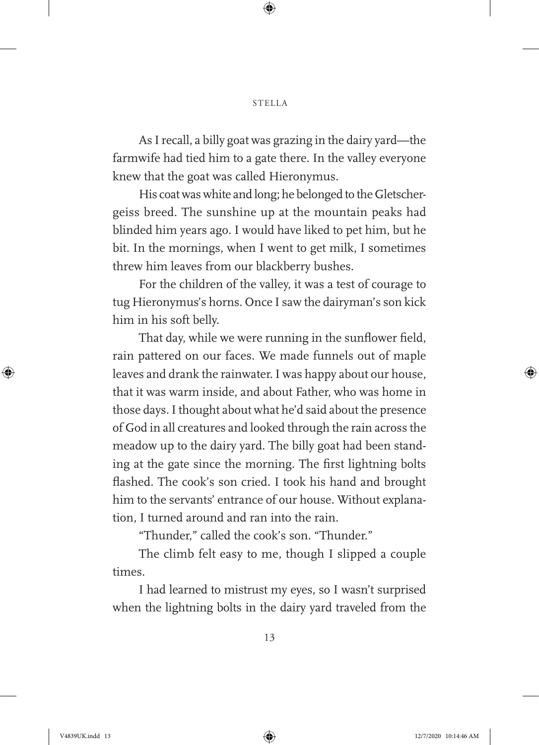$\bigoplus$ 

As I recall, a billy goat was grazing in the dairy yard—the farmwife had tied him to a gate there. In the valley everyone knew that the goat was called Hieronymus.

His coat was white and long; he belonged to the Gletschergeiss breed. The sunshine up at the mountain peaks had blinded him years ago. I would have liked to pet him, but he bit. In the mornings, when I went to get milk, I sometimes threw him leaves from our blackberry bushes.

For the children of the valley, it was a test of courage to tug Hieronymus's horns. Once I saw the dairyman's son kick him in his soft belly.

That day, while we were running in the sunflower field, rain pattered on our faces. We made funnels out of maple leaves and drank the rainwater. I was happy about our house, that it was warm inside, and about Father, who was home in those days. I thought about what he'd said about the presence of God in all creatures and looked through the rain across the meadow up to the dairy yard. The billy goat had been standing at the gate since the morning. The first lightning bolts flashed. The cook's son cried. I took his hand and brought him to the servants' entrance of our house. Without explanation, I turned around and ran into the rain.

"Thunder," called the cook's son. "Thunder."

The climb felt easy to me, though I slipped a couple times.

I had learned to mistrust my eyes, so I wasn't surprised when the lightning bolts in the dairy yard traveled from the

⊕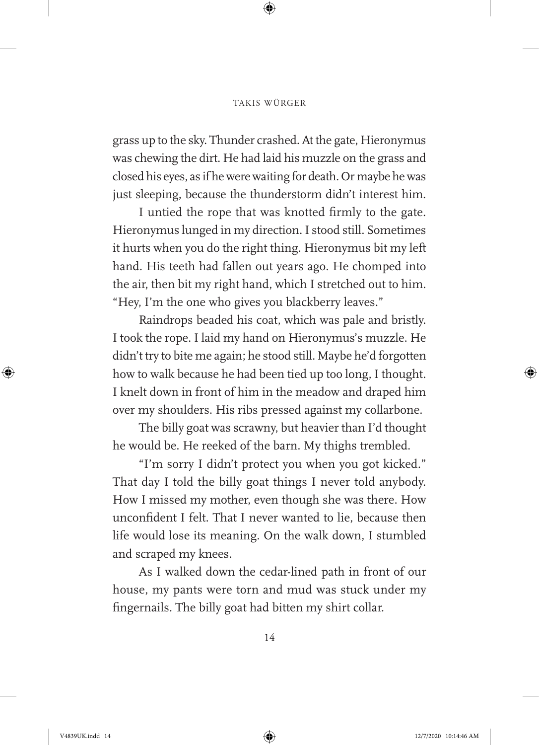$\bigoplus$ 

grass up to the sky. Thunder crashed. At the gate, Hieronymus was chewing the dirt. He had laid his muzzle on the grass and closed his eyes, as if he were waiting for death. Or maybe he was just sleeping, because the thunderstorm didn't interest him.

I untied the rope that was knotted firmly to the gate. Hieronymus lunged in my direction. I stood still. Sometimes it hurts when you do the right thing. Hieronymus bit my left hand. His teeth had fallen out years ago. He chomped into the air, then bit my right hand, which I stretched out to him. "Hey, I'm the one who gives you blackberry leaves."

Raindrops beaded his coat, which was pale and bristly. I took the rope. I laid my hand on Hieronymus's muzzle. He didn't try to bite me again; he stood still. Maybe he'd forgotten how to walk because he had been tied up too long, I thought. I knelt down in front of him in the meadow and draped him over my shoulders. His ribs pressed against my collarbone.

The billy goat was scrawny, but heavier than I'd thought he would be. He reeked of the barn. My thighs trembled.

"I'm sorry I didn't protect you when you got kicked." That day I told the billy goat things I never told anybody. How I missed my mother, even though she was there. How unconfident I felt. That I never wanted to lie, because then life would lose its meaning. On the walk down, I stumbled and scraped my knees.

As I walked down the cedar-lined path in front of our house, my pants were torn and mud was stuck under my fingernails. The billy goat had bitten my shirt collar.

⊕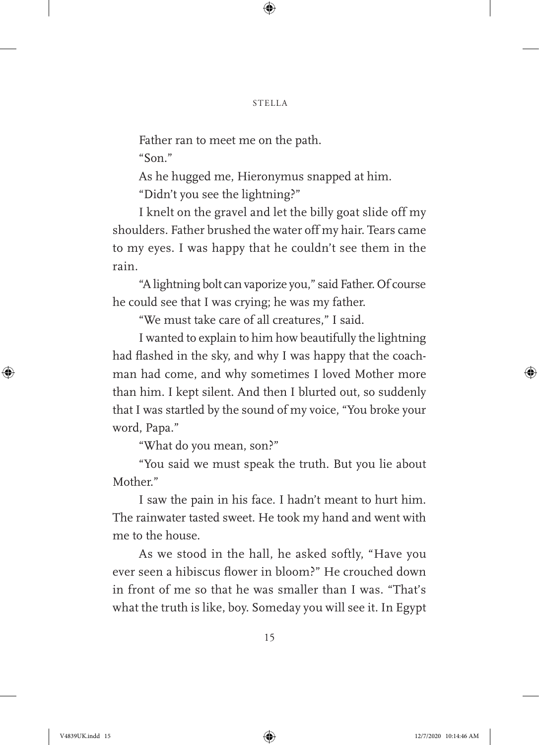$\bigoplus$ 

Father ran to meet me on the path. "Son."

As he hugged me, Hieronymus snapped at him.

"Didn't you see the lightning?"

I knelt on the gravel and let the billy goat slide off my shoulders. Father brushed the water off my hair. Tears came to my eyes. I was happy that he couldn't see them in the rain.

"A lightning bolt can vaporize you," said Father. Of course he could see that I was crying; he was my father.

"We must take care of all creatures," I said.

I wanted to explain to him how beautifully the lightning had flashed in the sky, and why I was happy that the coachman had come, and why sometimes I loved Mother more than him. I kept silent. And then I blurted out, so suddenly that I was startled by the sound of my voice, "You broke your word, Papa."

"What do you mean, son?"

"You said we must speak the truth. But you lie about Mother."

I saw the pain in his face. I hadn't meant to hurt him. The rainwater tasted sweet. He took my hand and went with me to the house.

As we stood in the hall, he asked softly, "Have you ever seen a hibiscus flower in bloom?" He crouched down in front of me so that he was smaller than I was. "That's what the truth is like, boy. Someday you will see it. In Egypt

⊕

V4839UK.indd 15 12/7/2020 10:14:46 AM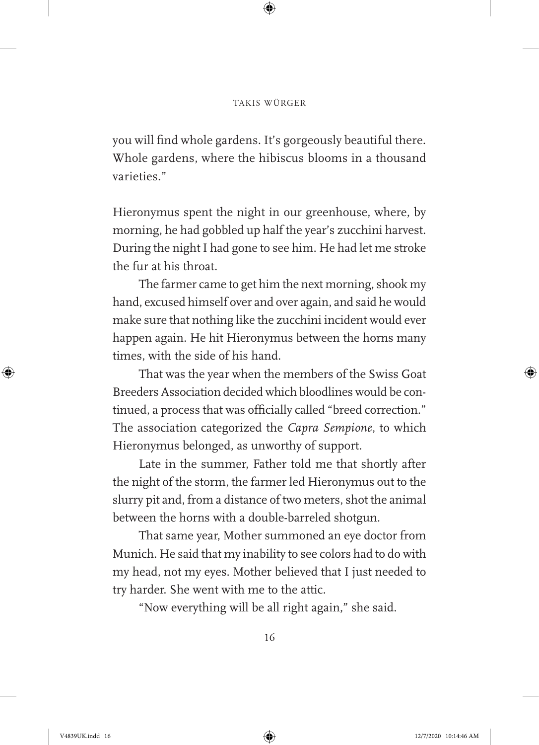$\bigoplus$ 

you will find whole gardens. It's gorgeously beautiful there. Whole gardens, where the hibiscus blooms in a thousand varieties."

Hieronymus spent the night in our greenhouse, where, by morning, he had gobbled up half the year's zucchini harvest. During the night I had gone to see him. He had let me stroke the fur at his throat.

The farmer came to get him the next morning, shook my hand, excused himself over and over again, and said he would make sure that nothing like the zucchini incident would ever happen again. He hit Hieronymus between the horns many times, with the side of his hand.

That was the year when the members of the Swiss Goat Breeders Association decided which bloodlines would be continued, a process that was officially called "breed correction." The association categorized the *Capra Sempione*, to which Hieronymus belonged, as unworthy of support.

Late in the summer, Father told me that shortly after the night of the storm, the farmer led Hieronymus out to the slurry pit and, from a distance of two meters, shot the animal between the horns with a double-barreled shotgun.

That same year, Mother summoned an eye doctor from Munich. He said that my inability to see colors had to do with my head, not my eyes. Mother believed that I just needed to try harder. She went with me to the attic.

"Now everything will be all right again," she said.

⊕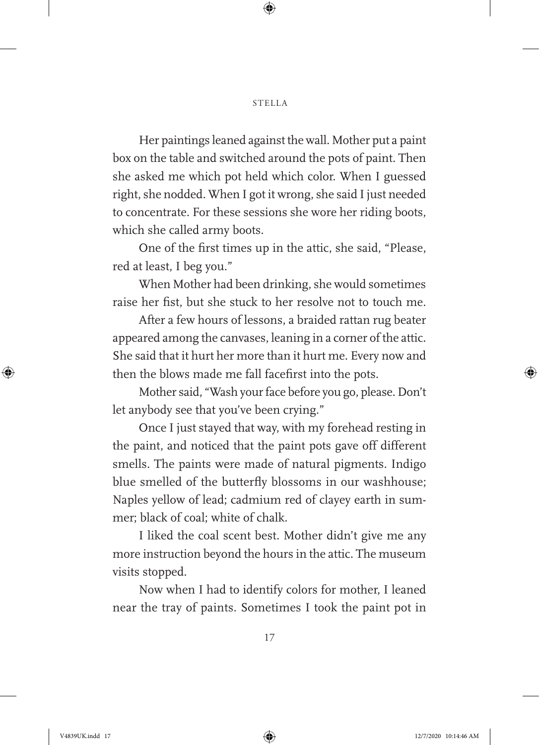$\bigoplus$ 

Her paintings leaned against the wall. Mother put a paint box on the table and switched around the pots of paint. Then she asked me which pot held which color. When I guessed right, she nodded. When I got it wrong, she said I just needed to concentrate. For these sessions she wore her riding boots, which she called army boots.

One of the first times up in the attic, she said, "Please, red at least, I beg you."

When Mother had been drinking, she would sometimes raise her fist, but she stuck to her resolve not to touch me.

After a few hours of lessons, a braided rattan rug beater appeared among the canvases, leaning in a corner of the attic. She said that it hurt her more than it hurt me. Every now and then the blows made me fall facefirst into the pots.

Mother said, "Wash your face before you go, please. Don't let anybody see that you've been crying."

Once I just stayed that way, with my forehead resting in the paint, and noticed that the paint pots gave off different smells. The paints were made of natural pigments. Indigo blue smelled of the butterfly blossoms in our washhouse; Naples yellow of lead; cadmium red of clayey earth in summer; black of coal; white of chalk.

I liked the coal scent best. Mother didn't give me any more instruction beyond the hours in the attic. The museum visits stopped.

Now when I had to identify colors for mother, I leaned near the tray of paints. Sometimes I took the paint pot in

⊕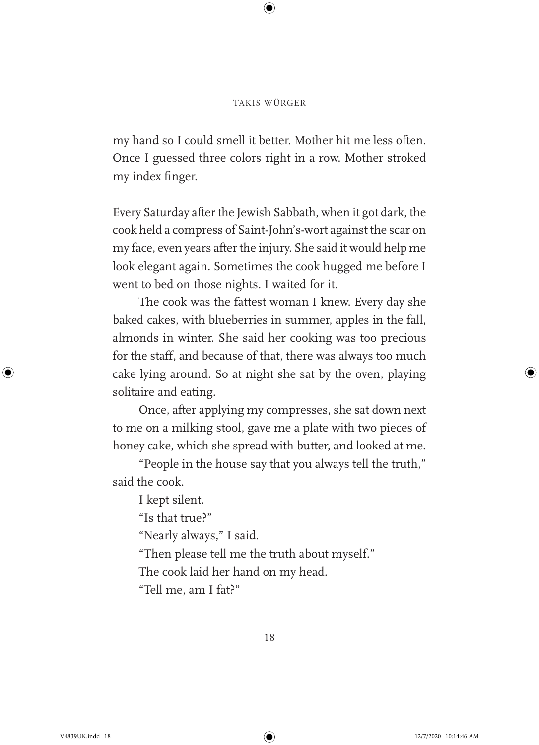$\bigoplus$ 

my hand so I could smell it better. Mother hit me less often. Once I guessed three colors right in a row. Mother stroked my index finger.

Every Saturday after the Jewish Sabbath, when it got dark, the cook held a compress of Saint-John's-wort against the scar on my face, even years after the injury. She said it would help me look elegant again. Sometimes the cook hugged me before I went to bed on those nights. I waited for it.

The cook was the fattest woman I knew. Every day she baked cakes, with blueberries in summer, apples in the fall, almonds in winter. She said her cooking was too precious for the staff, and because of that, there was always too much cake lying around. So at night she sat by the oven, playing solitaire and eating.

Once, after applying my compresses, she sat down next to me on a milking stool, gave me a plate with two pieces of honey cake, which she spread with butter, and looked at me.

"People in the house say that you always tell the truth," said the cook.

I kept silent. "Is that true?" "Nearly always," I said. "Then please tell me the truth about myself." The cook laid her hand on my head. "Tell me, am I fat?"

⊕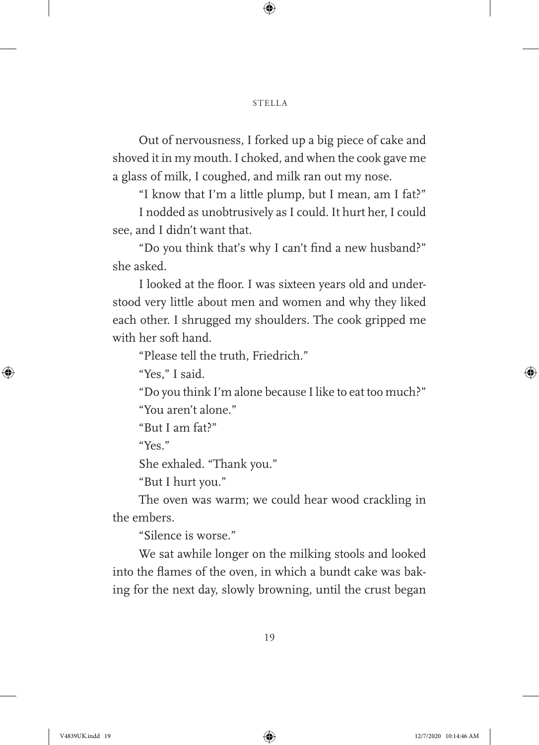$\bigoplus$ 

Out of nervousness, I forked up a big piece of cake and shoved it in my mouth. I choked, and when the cook gave me a glass of milk, I coughed, and milk ran out my nose.

"I know that I'm a little plump, but I mean, am I fat?"

I nodded as unobtrusively as I could. It hurt her, I could see, and I didn't want that.

"Do you think that's why I can't find a new husband?" she asked.

I looked at the floor. I was sixteen years old and understood very little about men and women and why they liked each other. I shrugged my shoulders. The cook gripped me with her soft hand.

"Please tell the truth, Friedrich."

"Yes," I said.

"Do you think I'm alone because I like to eat too much?" "You aren't alone."

"But I am fat?"

"Yes."

She exhaled. "Thank you."

"But I hurt you."

The oven was warm; we could hear wood crackling in the embers.

"Silence is worse."

We sat awhile longer on the milking stools and looked into the flames of the oven, in which a bundt cake was baking for the next day, slowly browning, until the crust began

⊕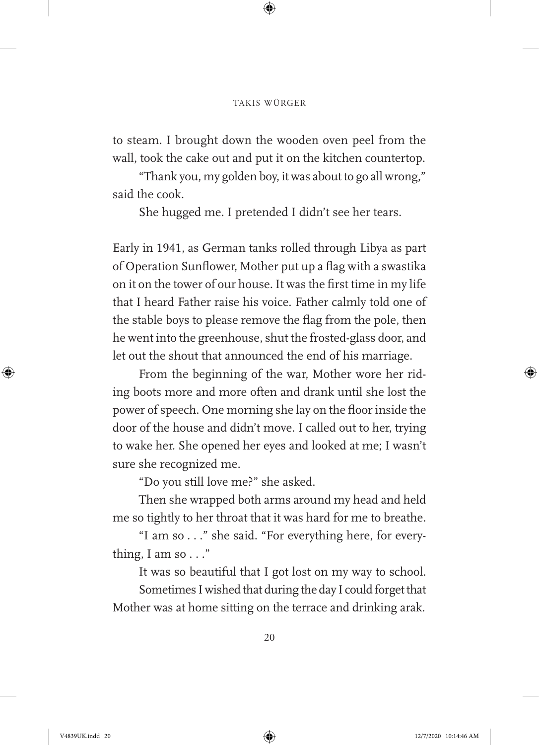$\bigoplus$ 

to steam. I brought down the wooden oven peel from the wall, took the cake out and put it on the kitchen countertop.

"Thank you, my golden boy, it was about to go all wrong," said the cook.

She hugged me. I pretended I didn't see her tears.

Early in 1941, as German tanks rolled through Libya as part of Operation Sunflower, Mother put up a flag with a swastika on it on the tower of our house. It was the first time in my life that I heard Father raise his voice. Father calmly told one of the stable boys to please remove the flag from the pole, then he went into the greenhouse, shut the frosted-glass door, and let out the shout that announced the end of his marriage.

From the beginning of the war, Mother wore her riding boots more and more often and drank until she lost the power of speech. One morning she lay on the floor inside the door of the house and didn't move. I called out to her, trying to wake her. She opened her eyes and looked at me; I wasn't sure she recognized me.

"Do you still love me?" she asked.

Then she wrapped both arms around my head and held me so tightly to her throat that it was hard for me to breathe.

"I am so . . ." she said. "For everything here, for everything, I am so  $\ldots$ "

It was so beautiful that I got lost on my way to school.

Sometimes I wished that during the day I could forget that Mother was at home sitting on the terrace and drinking arak.

↔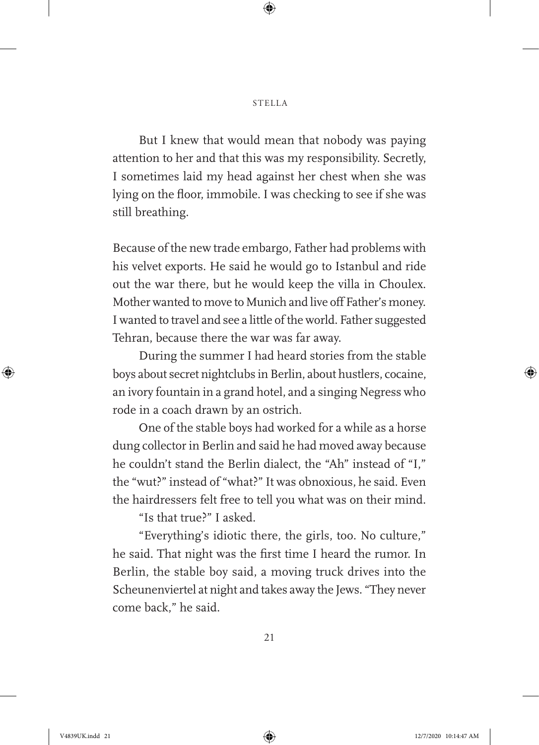$\bigoplus$ 

But I knew that would mean that nobody was paying attention to her and that this was my responsibility. Secretly, I sometimes laid my head against her chest when she was lying on the floor, immobile. I was checking to see if she was still breathing.

Because of the new trade embargo, Father had problems with his velvet exports. He said he would go to Istanbul and ride out the war there, but he would keep the villa in Choulex. Mother wanted to move to Munich and live off Father's money. I wanted to travel and see a little of the world. Father suggested Tehran, because there the war was far away.

During the summer I had heard stories from the stable boys about secret nightclubs in Berlin, about hustlers, cocaine, an ivory fountain in a grand hotel, and a singing Negress who rode in a coach drawn by an ostrich.

One of the stable boys had worked for a while as a horse dung collector in Berlin and said he had moved away because he couldn't stand the Berlin dialect, the "Ah" instead of "I," the "wut?" instead of "what?" It was obnoxious, he said. Even the hairdressers felt free to tell you what was on their mind.

"Is that true?" I asked.

"Everything's idiotic there, the girls, too. No culture," he said. That night was the first time I heard the rumor. In Berlin, the stable boy said, a moving truck drives into the Scheunenviertel at night and takes away the Jews. "They never come back," he said.

⊕

↔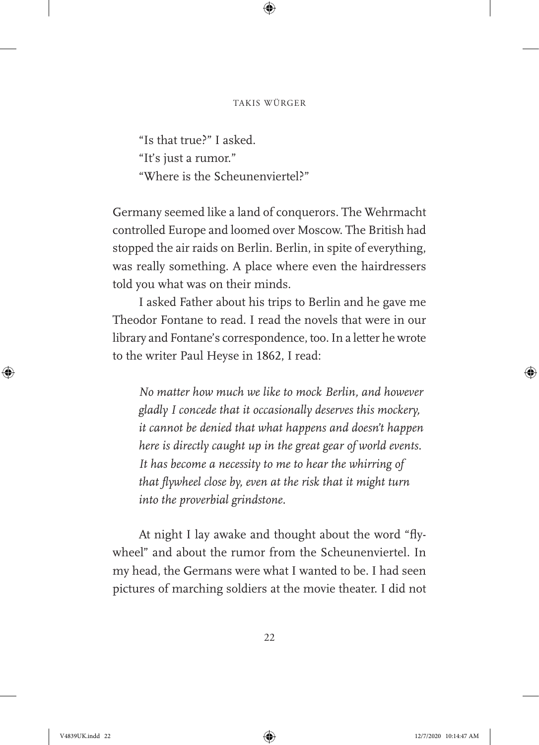$\bigoplus$ 

"Is that true?" I asked. "It's just a rumor." "Where is the Scheunenviertel?"

Germany seemed like a land of conquerors. The Wehrmacht controlled Europe and loomed over Moscow. The British had stopped the air raids on Berlin. Berlin, in spite of everything, was really something. A place where even the hairdressers told you what was on their minds.

I asked Father about his trips to Berlin and he gave me Theodor Fontane to read. I read the novels that were in our library and Fontane's correspondence, too. In a letter he wrote to the writer Paul Heyse in 1862, I read:

*No matter how much we like to mock Berlin, and however gladly I concede that it occasionally deserves this mockery, it cannot be denied that what happens and doesn't happen here is directly caught up in the great gear of world events. It has become a necessity to me to hear the whirring of that flywheel close by, even at the risk that it might turn into the proverbial grindstone.*

At night I lay awake and thought about the word "flywheel" and about the rumor from the Scheunenviertel. In my head, the Germans were what I wanted to be. I had seen pictures of marching soldiers at the movie theater. I did not

⊕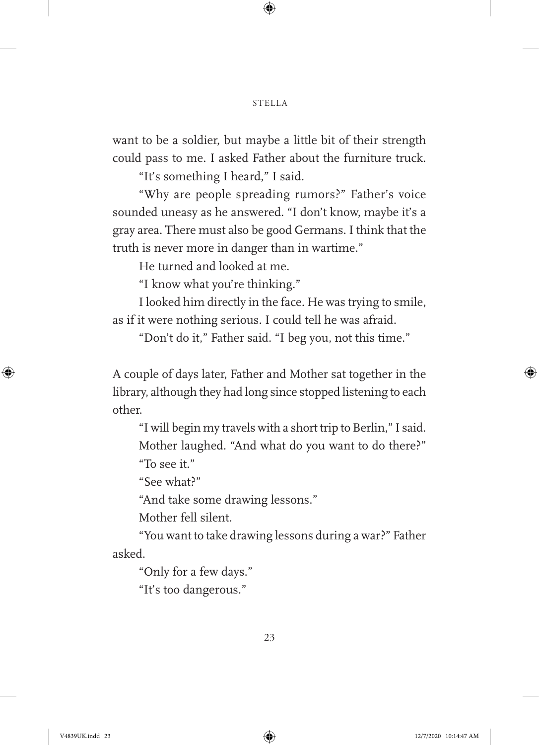$\bigoplus$ 

want to be a soldier, but maybe a little bit of their strength could pass to me. I asked Father about the furniture truck.

"It's something I heard," I said.

"Why are people spreading rumors?" Father's voice sounded uneasy as he answered. "I don't know, maybe it's a gray area. There must also be good Germans. I think that the truth is never more in danger than in wartime."

He turned and looked at me.

"I know what you're thinking."

I looked him directly in the face. He was trying to smile, as if it were nothing serious. I could tell he was afraid.

"Don't do it," Father said. "I beg you, not this time."

A couple of days later, Father and Mother sat together in the library, although they had long since stopped listening to each other.

"I will begin my travels with a short trip to Berlin," I said. Mother laughed. "And what do you want to do there?" "To see it."

"See what?"

"And take some drawing lessons."

Mother fell silent.

"You want to take drawing lessons during a war?" Father asked.

"Only for a few days."

"It's too dangerous."

⊕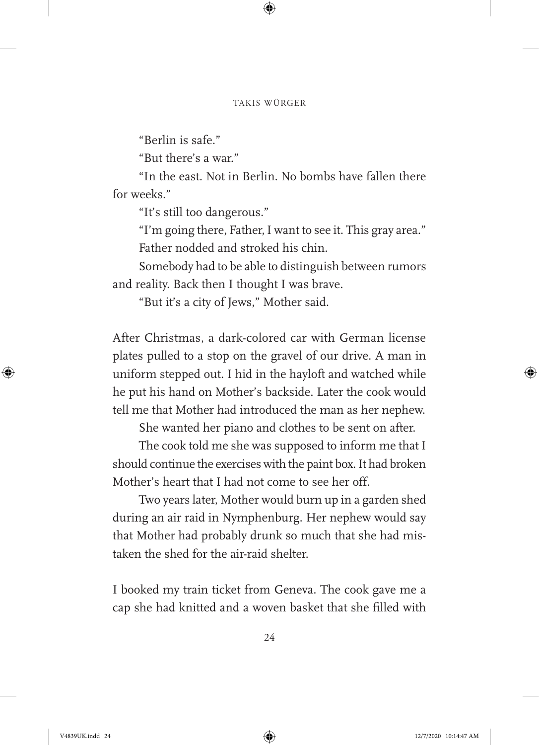$\bigoplus$ 

"Berlin is safe."

"But there's a war."

"In the east. Not in Berlin. No bombs have fallen there for weeks."

"It's still too dangerous."

"I'm going there, Father, I want to see it. This gray area."

Father nodded and stroked his chin.

Somebody had to be able to distinguish between rumors and reality. Back then I thought I was brave.

"But it's a city of Jews," Mother said.

After Christmas, a dark-colored car with German license plates pulled to a stop on the gravel of our drive. A man in uniform stepped out. I hid in the hayloft and watched while he put his hand on Mother's backside. Later the cook would tell me that Mother had introduced the man as her nephew.

She wanted her piano and clothes to be sent on after.

The cook told me she was supposed to inform me that I should continue the exercises with the paint box. It had broken Mother's heart that I had not come to see her off.

Two years later, Mother would burn up in a garden shed during an air raid in Nymphenburg. Her nephew would say that Mother had probably drunk so much that she had mistaken the shed for the air-raid shelter.

I booked my train ticket from Geneva. The cook gave me a cap she had knitted and a woven basket that she filled with

⊕

V4839UK.indd 24 12/7/2020 10:14:47 AM